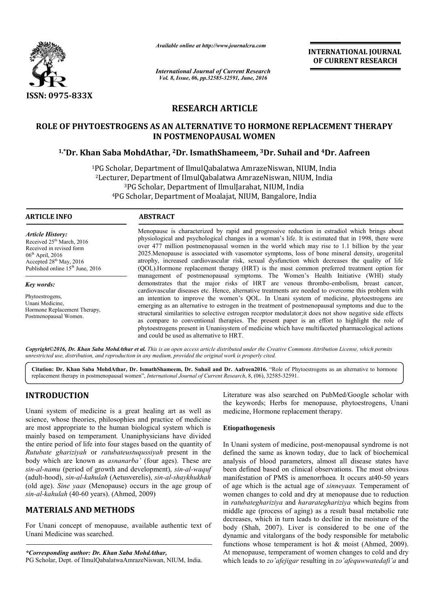

*Available online at http://www.journalcra.com*

*International Journal of Current Research Vol. 8, Issue, 06, pp.32585-32591, June, 2016*

**INTERNATIONAL JOURNAL OF CURRENT RESEARCH** 

# **RESEARCH ARTICLE**

# **ROLE OF PHYTOESTROGENS AS AN ALTERNATIVE TO HORMONE REPLACEMENT THERAPY IN POSTMENOPAUSAL WOMEN** ROLE OF PHYTOESTROGENS AS AN ALTERNATIVE TO HORMONE REPLACEMENT THE<br>IN POSTMENOPAUSAL WOMEN<br><sup>1,\*</sup>Dr. Khan Saba MohdAthar, <sup>2</sup>Dr. IsmathShameem, <sup>3</sup>Dr. Suhail and <sup>4</sup>Dr. Aafreen

1PG Scholar, Department of IlmulQabalatwa AmrazeNiswan, NIUM, India <sup>2</sup>Lecturer, Department of IlmulQabalatwa AmrazeNiswan, NIUM, India <sup>3</sup>PG Scholar, Department of IlmulJarahat, NIUM, India <sup>4</sup>PG Scholar, Department of Moalajat, NIUM, Bangalore, India

 $\overline{a}$ 

#### **ARTICLE INFO ABSTRACT**

*Article History:* Received 25<sup>th</sup> March, 2016 Received in revised form 06th April, 2016 Accepted 28<sup>th</sup> May, 2016 Published online 15<sup>th</sup> June, 2016

*Key words:*

Phytoestrogens, Unani Medicine, Hormone Replacement Therapy, Postmenopausal Women.

Menopause is characterized by rapid and progressive reduction in estradiol which brings about physiological and psychological changes in a woman's life. It is estimated that in 1998, there were over 477 million postmenopausal women in the world which may rise to 1.1 billion by the year 2025.Menopause is associated with vasomotor symptoms, loss of bone mineral density, urogenital atrophy, increased cardiovascular risk, sexual dysfunction which decreases the quality of life (QOL).Hormone replacement therapy (HRT) is the most common preferred treatment option for management of postmenopausal symptoms. The Women's Health Initiative (WHI) study demonstrates that the major risks of HRT are venous thrombo-embolism, breast cancer, cardiovascular diseases etc. Hence, alternative treatments are needed to overcome this problem with an intent intention to improve the women's QOL. In Unani system of medicine, phytoestrogens are emerging as an alternative to estrogen in the treatment of postmenopausal symptoms and due to the structural similarities to selective estrogen receptor modulator; it does not show negative side effects as compare to conventional therapies. The present paper is an effort to highlight the role of as compare to conventional therapies. The present paper is an effort to highlight the role of phytoestrogens present in Unanisystem of medicine which have multifaceted pharmacological actions and could be used as alternative to HRT. physiological and psychological changes in a woman's life. It is estimated that in 1998, there were over 477 million postmenopausal women in the world which may rise to 1.1 billion by the year 2025.<br>Menopause is associated cardiovascular diseases etc. Hence, alternative treatments are needed to overcome this problem with<br>an intention to improve the women's QOL. In Unani system of medicine, phytoestrogens are<br>emerging as an alternative to est

*Copyright©2016, Dr. Khan Saba MohdAthar et al. This is an open access article distributed under the Creative Commons Att under Attribution License, which permits unrestricted use, distribution, and reproduction in any medium, provided the original work is properly cited.*

Citation: Dr. Khan Saba MohdAthar, Dr. IsmathShameem, Dr. Suhail and Dr. Aafreen2016. "Role of Phytoestrogens as an alternative to hormone replacement therapy in postmenopausal women", *International Journal of Current Research* , 8, (06), 32585-32591.

## **INTRODUCTION**

Unani system of medicine is a great healing art as well as science, whose theories, philosophies and practice of medicine are most appropriate to the human biological system which is mainly based on temperament*.* Unaniphysicians have divided the entire period of life into four stages based on the quantity of *Rutubate ghariziyah* or *ratubateustuqussiyah* present in the body which are known as *asnanarba'* (four ages). These are *sin-al-namu* (period of growth and development), *sin-al-waquf* (adult-hood), *sin-al-kahulah* (Aetusverelis), *sin sin-al-shaykhukhah* (old age). *Sine yaas* (Menopause) occurs in the age group of *sin-al-kahulah* (40-60 years). (Ahmed, 2009)

## **MATERIALS AND METHODS**

For Unani concept of menopause, available authentic text of Unani Medicine was searched.

*\*Corresponding author: Dr. Khan Saba MohdAthar,*

PG Scholar, Dept. of IlmulQabalatwaAmrazeNiswan, NIUM, India.

Literature was also searched on PubMed/Google scholar with the keywords; Herbs for menopause, phytoestrogens, Unani medicine, Hormone replacement therapy. Literature was also searched on PubMed/Google scholar with the keywords; Herbs for menopause, phytoestrogens, Unani medicine, Hormone replacement therapy.

### **Etiopathogenesis**

In Unani system of medicine, post-menopausal syndrome is not defined the same as known today, due to lack of biochemical analysis of blood parameters, almost all disease states have been defined based on clinical observations. The most obvious manifestation of PMS is amenorrhoea. It occurs at 40-50 years of age which is the actual age of sinneyaas. Temperament of women changes to cold and dry at menopause due to reduction in *ratubateghariziya* and *hararateghariziya* which begins from middle age (process of aging) as a result basal metabolic rate decreases, which in turn leads to decline in the moisture of the body (Shah, 2007). Liver is considered to be one of the body (Shah, 2007). Liver is considered to be one of the dynamic and vitalorgans of the body responsible for metabolic functions whose temperament is hot  $&$  moist (Ahmed, 2009). At menopause, temperament of women changes to cold and dry which leads to *zo'afejigar* resulting in *zo'afequwwatedafi'a* and same as known today, due to lack of biochemical blood parameters, almost all disease states have 1 based on clinical observations. The most obvious n of PMS is amenorrhoea. It occurs at40-50 years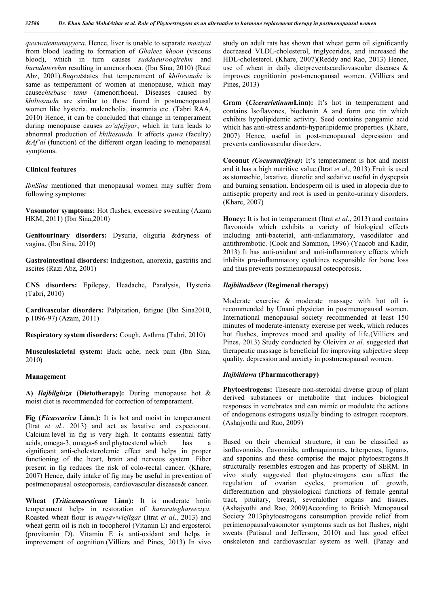*quwwatemumayyeza*. Hence, liver is unable to separate *maaiyat* from blood leading to formation of *Ghaleez khoon* (viscous blood), which in turn causes *suddaeurooqirehm* and *burudaterehm* resulting in amenorrhoea. (Ibn Sina, 2010) (Razi Abz, 2001).*Buqrat*states that temperament of *khiltesauda* is same as temperament of women at menopause, which may cause*ehtebase tams* (amenorrhoea). Diseases caused by *khiltesauda* are similar to those found in postmenopausal women like hysteria, malencholia, insomnia etc. (Tabri RAA, 2010) Hence, it can be concluded that change in temperament during menopause causes *zo'afejigar*, which in turn leads to abnormal production of *khiltesauda.* It affects *quwa* (faculty) &*Af'al* (function) of the different organ leading to menopausal symptoms.

#### **Clinical features**

*IbnSina* mentioned that menopausal women may suffer from following symptoms:

**Vasomotor symptoms:** Hot flushes, excessive sweating (Azam HKM, 2011) (Ibn Sina,2010)

**Genitourinary disorders:** Dysuria, oliguria &dryness of vagina. (Ibn Sina, 2010)

**Gastrointestinal disorders:** Indigestion, anorexia, gastritis and ascites (Razi Abz, 2001)

**CNS disorders:** Epilepsy, Headache, Paralysis, Hysteria (Tabri, 2010)

**Cardivascular disorders:** Palpitation, fatigue (Ibn Sina2010, p.1096-97) (Azam, 2011)

**Respiratory system disorders:** Cough, Asthma (Tabri, 2010)

**Musculoskeletal system:** Back ache, neck pain (Ibn Sina, 2010)

#### **Management**

**A)** *Ilajbilghiza* **(Dietotherapy):** During menopause hot & moist diet is recommended for correction of temperament.

**Fig (***Ficuscarica* **Linn.):** It is hot and moist in temperament (Itrat *et al*., 2013) and act as laxative and expectorant. Calcium level in fig is very high. It contains essential fatty acids, omega-3, omega**-**6 and phytoesterol which has a significant anti-cholesterolemic effect and helps in proper functioning of the heart, brain and nervous system. Fiber present in fig reduces the risk of colo-rectal cancer. (Khare, 2007) Hence, daily intake of fig may be useful in prevention of postmenopausal osteoporosis, cardiovascular diseases& cancer.

**Wheat (***Triticumaestivum* **Linn):** It is moderate hotin temperament helps in restoration of *hararateghareeziya*. Roasted wheat flour is *muqawwiejigar* (Itrat *et al*., 2013) and wheat germ oil is rich in tocopherol (Vitamin E) and ergosterol (provitamin D). Vitamin E is anti-oxidant and helps in improvement of cognition.(Villiers and Pines, 2013) In vivo study on adult rats has shown that wheat germ oil significantly decreased VLDL-cholesterol, triglycerides, and increased the HDL-cholesterol. (Khare, 2007)(Reddy and Rao, 2013) Hence, use of wheat in daily dietpreventscardiovascular diseases & improves cognitionin post-menopausal women. (Villiers and Pines, 2013)

**Gram (***Cicerarietinum***Linn):** It's hot in temperament and contains Isoflavones, biochanin A and form one tin which exhibits hypolipidemic activity. Seed contains pangamic acid which has anti-stress andanti-hyperlipidemic properties. (Khare, 2007) Hence, useful in post-menopausal depression and prevents cardiovascular disorders.

**Coconut** *(Cocusnucifera)***:** It's temperament is hot and moist and it has a high nutritive value.(Itrat *et al*., 2013) Fruit is used as stomachic, laxative, diuretic and sedative useful in dyspepsia and burning sensation. Endosperm oil is used in alopecia due to antiseptic property and root is used in genito-urinary disorders. (Khare, 2007)

**Honey:** It is hot in temperament (Itrat *et al*., 2013) and contains flavonoids which exhibits a variety of biological effects including anti-bacterial, anti-inflammatory, vasodilator and antithrombotic. (Cook and Sammon, 1996) (Yaacob and Kadir, 2013) It has anti-oxidant and anti-inflammatory effects which inhibits pro-inflammatory cytokines responsible for bone loss and thus prevents postmenopausal osteoporosis.

#### *Ilajbiltadbeer* **(Regimenal therapy)**

Moderate exercise & moderate massage with hot oil is recommended by Unani physician in postmenopausal women. International menopausal society recommended at least 150 minutes of moderate-intensity exercise per week, which reduces hot flushes, improves mood and quality of life.(Villiers and Pines, 2013) Study conducted by Oleivira *et al*. suggested that therapeutic massage is beneficial for improving subjective sleep quality, depression and anxiety in postmenopausal women.

#### *Ilajbildawa* **(Pharmacotherapy)**

**Phytoestrogens:** Theseare non-steroidal diverse group of plant derived substances or metabolite that induces biological responses in vertebrates and can mimic or modulate the actions of endogenous estrogens usually binding to estrogen receptors*.* (Ashajyothi and Rao, 2009)

Based on their chemical structure, it can be classified as isoflavonoids, flavonoids, anthraquinones, triterpenes, lignans, and saponins and these comprise the major phytoestrogens.It structurally resembles estrogen and has property of SERM. In vivo study suggested that phytoestrogens can affect the regulation of ovarian cycles, promotion of growth, differentiation and physiological functions of female genital tract, pituitary, breast, severalother organs and tissues. (Ashajyothi and Rao, 2009)According to British Menopausal Society 2013phytoestrogens consumption provide relief from perimenopausalvasomotor symptoms such as hot flushes, night sweats (Patisaul and Jefferson, 2010) and has good effect onskeleton and cardiovascular system as well. (Panay and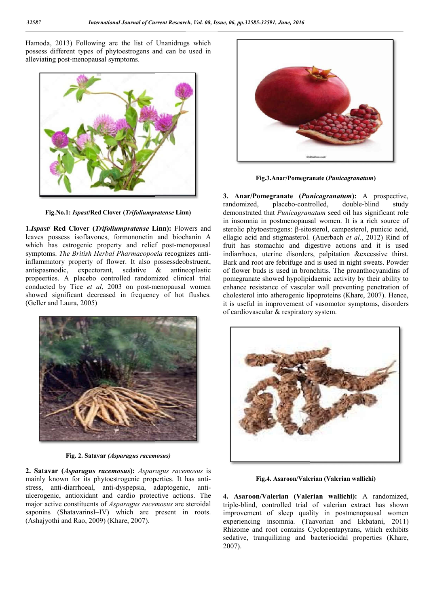Hamoda, 2013) Following are the list of Unanidrugs which possess different types of phytoestrogens and can be used in alleviating post-menopausal symptoms.



**Fig.No.1:** *Ispast***/Red Clover (***Trifoliumpratense* **Linn)**

**1.***Ispast***/ Red Clover (***Trifoliumpratense* **Linn):**  Flowers and leaves possess isoflavones, formononetin and biochanin A which has estrogenic property and relief post-menopausal symptoms. The British Herbal Pharmacopoeia recognizes antiinflammatory property of flower. It also possessdeobstruent, antispasmodic, expectorant, sedative & antineoplastic propeerties. A placebo controlled randomized clinical trial conducted by Tice et al, 2003 on post-menopausal women showed significant decreased in frequency of hot flushes. (Geller and Laura, 2005)



**Fig. 2. Satavar** *(Asparagus racemosus)*

**2. Satavar (***Asparagus racemosus***):** *Asparagus racemosus* is mainly known for its phytoestrogenic properties. It has antistress, anti-diarrhoeal, anti-dyspepsia, adaptogenic, antiulcerogenic, antioxidant and cardio protective actions. The major active constituents of *Asparagus racemosus* are steroidal saponins (ShatavarinsI–IV) which are present in roots. (Ashajyothi and Rao, 2009) (Khare, 2007).



**Anar/Pomegranate** *Punicagranatum***)**

**3. Anar/Pomegranate (***Punicagranatum* **):** A prospective, randomized, placebo-controlled, demonstrated that *Punicagranatum* seed oil has significant role in insomnia in postmenopausal women. It is a rich source of sterolic phytoestrogens: β-sitosterol, campesterol, punicic acid, ellagic acid and stigmasterol. (Auerbach et al., 2012) Rind of fruit has stomachic and digestive actions and it is used indiarrhoea, uterine disorders, palpitation &excessive thirst. Bark and root are febrifuge and is used in night sweats. Powder of flower buds is used in bronchitis. The proanthocyanidins of pomegranate showed hypolipidaemic activity by their ability to enhance resistance of vascular wall preventing penetration of cholesterol into atherogenic lipoproteins (Khare, 2007). Hence, it is useful in improvement of vasomotor symptoms, disorders it is useful in improvement of vasome<br>of cardiovascular & respiratory system. double-blind study achic and digestive actions and it is used<br>rine disorders, palpitation &excessive thirst.<br>e febrifuge and is used in night sweats. Powder<br>is used in bronchitis. The proanthocyanidins of<br>owed hypolipidaemic activity by thei



**Fig.4. Asaroon/Valerian (Valerian wallichi)**

**4. Asaroon/Valerian (Valerian wallichi)**<br>**4. Asaroon/Valerian (Valerian wallichi):** A randomized, triple-blind, controlled trial of valerian extract has shown improvement of sleep quality in postmenopausal women experiencing insomnia. (Taavorian and Ekbatani, 2011) Rhizome and root contains Cyclopentapyrans, which exhibits Rhizome and root contains Cyclopentapyrans, which exhibits sedative, tranquilizing and bacteriocidal properties (Khare, 2007).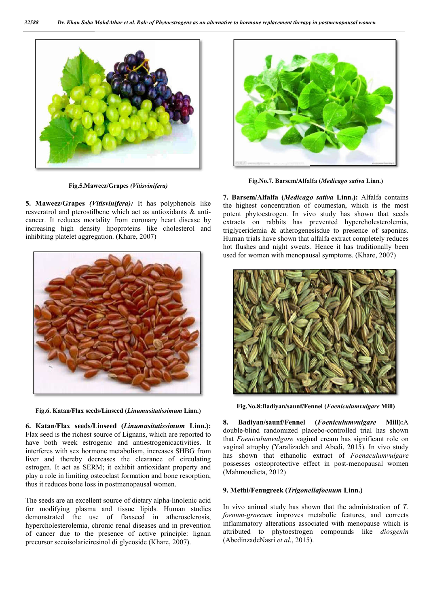

**Fig.5.Maweez/Grapes** *(Vitisvinifera)*

**5. Maweez/Grapes** *(Vitisvinifera):* It has polyphenols like resveratrol and pterostilbene which act as antioxidants & anticancer. It reduces mortality from coronary heart disease by increasing high density lipoproteins like cholesterol and inhibiting platelet aggregation. (Khare, 2007)



**Fig.6. Katan/Flax seeds/Linseed (***Linumusitatissimum* **Linn.)**

**6. Katan/Flax seeds/Linseed (***Linumusitatissimum* **Linn.):**  Flax seed is the richest source of Lignans, which are reported to have both week estrogenic and antiestrogenicactivities. It interferes with sex hormone metabolism, increases SHBG from liver and thereby decreases the clearance of circulating estrogen. It act as SERM; it exhibit antioxidant property and play a role in limiting osteoclast formation and bone resorption, thus it reduces bone loss in postmenopausal women. liver and thereby decreases the clearance of circulating<br>estrogen. It act as SERM; it exhibit antioxidant property and<br>play a role in limiting osteoclast formation and bone resorption,<br>thus it reduces bone loss in postmeno

for modifying plasma and tissue lipids. Human studies demonstrated the use of flaxseed in atherosclerosis, hypercholesterolemia, chronic renal diseases and in prevention of cancer due to the presence of active principle: lignan precursor secoisolariciresinol di glycoside (Khare (Khare, 2007).



**Fig.No.7. Barsem/Alfalfa ( Barsem/Alfalfa (***Medicago sativa* **Linn.)**

**7. Barsem/Alfalfa (***Medicago sativa* **Linn.):** Alfalfa contains the highest concentration of coumestan, which is the most potent phytoestrogen. In vivo study has shown that seeds extracts on rabbits has prevented hypercholesterolemia, triglyceridemia & atherogenesisdue to presence of saponins. Human trials have shown that alfalfa extract completely reduces hot flushes and night sweats. Hence it has traditionally been used for women with menopausal symptoms. (Khare, 2007) the highest concentration of coumestan, which is the most<br>potent phytoestrogen. In vivo study has shown that seeds<br>extracts on rabbits has prevented hypercholesterolemia,<br>triglyceridemia & atherogenesisdue to presence of s



**Fig.No.8:Badiyan/saunf/Fennel ( Fig.No.8:Badiyan/saunf/Fennel** *Foeniculumvulgare* **Mill)**

**8. Badiyan/saunf/Fennel ( Badiyan/saunf/Fennel** *Foeniculumvulgare* **Mill):**A double-blind randomized placebo-controlled trial has shown that *Foeniculumvulgare* vaginal cream has significant role on that *Foeniculumvulgare* vaginal cream has significant role on vaginal atrophy (Yaralizadeh and Abedi, 2015). In vivo study has shown that ethanolic extract of *Foenaculumvulgare* possesses osteoprotective effect in post-menopausal women (Mahmoudieta, 2012)

#### **9. Methi/Fenugreek (***Trigonellafoenum* **Linn.)**

In vivo animal study has shown that the administration of *T*. *foenum-graecum* improves metabolic features, and corrects foenum-graecum improves metabolic features, and corrects inflammatory alterations associated with menopause which is attributed to phytoestrogen compounds like *diosgenin* (AbedinzadeNasri *et al*., 2015) 2015).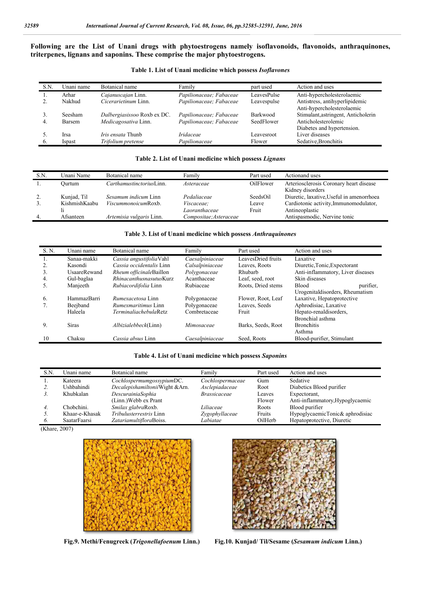**Following are the List of Unani drugs with phytoestrogens namely isoflavonoids, flavonoids, anthr anthraquinones, triterpenes, lignans and saponins. These comprise the major phytoestrogens.**

| S.N. | Unani name      | Botanical name                             | Family                                             | part used       | Action and uses                                              |
|------|-----------------|--------------------------------------------|----------------------------------------------------|-----------------|--------------------------------------------------------------|
|      | Arhar<br>Nakhud | Cajanuscajan Linn.<br>Cicerarietinum Linn. | Papilionaceae; Fabaceae<br>Papilionaceae; Fabaceae | LeavesPulse     | Anti-hypercholesterolaemic<br>Antistress, antihyperlipidemic |
|      |                 |                                            |                                                    | Leavespulse     | Anti-hypercholesterolaemic                                   |
|      | Seesham         | Dalbergiasissoo Roxb ex DC.                | Papilionaceae; Fabaceae                            | <b>Barkwood</b> | Stimulant, astringent, Anticholerin                          |
| 4.   | <b>Barsem</b>   | Medicagosativa Linn.                       | Papilionaceae; Fabaceae                            | SeedFlower      | Anticholesterolemic<br>Diabetes and hypertension.            |
|      | Irsa            | <i>Iris ensata</i> Thunb                   | <i>Iridaceae</i>                                   | Leavesroot      | Liver diseases                                               |
|      | Ispast          | Trifolium pretense                         | Papilionaceae                                      | Flower          | Sedative, Bronchitis                                         |

#### **Table 2. List of Unani medicine which possess** *Lignans*

| S.N.           | Unani Name    | Botanical name           | Family                 | Part used | Actionand uses                                              |
|----------------|---------------|--------------------------|------------------------|-----------|-------------------------------------------------------------|
|                | Ourtum        | CarthamustinctoriusLinn. | Asteraceae             | OilFlower | Arteriosclerosis Coronary heart disease<br>Kidney disorders |
| 2.             | Kunjad, Til   | Sesamum indicum Linn     | Pedaliaceae            | SeedsOil  | Diuretic, laxative, Useful in amenorrhoea                   |
| 3.             | KishmishKaabu | ViscummonoicumRoxb.      | <i>Viscaceae</i> :     | Leave     | Cardiotonic activity, Immunomodulator,                      |
|                |               |                          | Laoranthaceae          | Fruit     | Antineoplastic                                              |
| $\overline{4}$ | Afsanteen     | Artemisia vulgaris Linn. | Compositae; Asteraceae |           | Antispasmodic, Nervine tonic                                |

#### **Table 3. List of Unani medicine which possess**  *Anthraquinones*

| S. N. | Unani name          | Botanical name                  | Family          | Part used          | Action and uses                   |
|-------|---------------------|---------------------------------|-----------------|--------------------|-----------------------------------|
| Ι.    | Sanaa-makki         | Cassia angustifoliaVahl         | Caesalpiniaceae | LeavesDried fruits | Laxative                          |
|       | Kasondi             | Cassia occidentalis Linn        | Calsalpiniaceae | Leaves, Roots      | Diuretic, Tonic, Expectorant      |
| 3.    | <b>UsaareRewand</b> | <i>Rheum officinaleBaillon</i>  | Polygonaceae    | Rhubarb            | Anti-inflammatory, Liver diseases |
| 4.    | Gul-baglaa          | <i>Rhinacanthusnasutus</i> Kurz | Acanthaceae     | Leaf, seed, root   | Skin diseases                     |
| 5.    | Manjeeth            | Rubiacordifolia Linn            | Rubiaceae       | Roots, Dried stems | <b>Blood</b><br>purifier.         |
|       |                     |                                 |                 |                    | Urogenitaldisorders, Rheumatism   |
| 6.    | HammazBarri         | <i>Rumexacetosa</i> Linn        | Polygonaceae    | Flower, Root, Leaf | Laxative, Hepatoprotective        |
|       | Beejband            | <i>Rumexmaritimus</i> Linn      | Polygonaceae    | Leaves, Seeds      | Aphrodisiac, Laxative             |
|       | Haleela             | TerminaliachebulaRetz           | Combretaceae    | Fruit              | Hepato-renaldisorders,            |
|       |                     |                                 |                 |                    | Bronchial asthma                  |
| 9.    | <b>Siras</b>        | <i>Albizialebbeck</i> (Linn)    | Mimosaceae      | Barks, Seeds, Root | <b>Bronchitis</b>                 |
|       |                     |                                 |                 |                    | Asthma                            |
| 10    | Chaksu              | Cassia absus Linn               | Caesalpiniaceae | Seed, Roots        | Blood-purifier, Stimulant         |
|       |                     |                                 |                 |                    |                                   |

#### **Table 4. List of Unani medicine which possess** *Saponins*

| S.N. | Unani name     | Botanical name                 | Family              | Part used | Action and uses                  |
|------|----------------|--------------------------------|---------------------|-----------|----------------------------------|
|      | Kateera        | CochlospermumgossypiumDC.      | Cochlospermaceae    | Gum       | Sedative                         |
|      | Ushbahindi     | DecalepishamiltoniiWight &Arn. | Asclepiadaceae      | Root      | Diabetics Blood purifier         |
|      | Khubkalan      | DescurainiaSophia              | <b>Brassicaceae</b> | Leaves    | Expectorant,                     |
|      |                | (Linn.) Webb ex Prant          |                     | Flower    | Anti-inflammatory, Hypoglycaemic |
| 4.   | Chobchini.     | Smilax glabraRoxb.             | Liliaceae           | Roots     | Blood purifier                   |
|      | Khaar-e-Khasak | <i>Tribulusterrestris</i> Linn | Zygophyllaceae      | Fruits    | HypoglycaemicTonic& aphrodisiac  |
| 6.   | SaatarFaarsi   | ZatariamultifloraBoiss.        | Labiatae            | OilHerb   | Hepatoprotective, Diuretic       |

(Khare, 2007)



 **Fig.9. Methi/Fenugreek (***Trigonellafoenum*



**Linn.) Fig.10. Kunjad/ Til/Sesame (***Sesamum indicum Sesamum*  **Linn.)**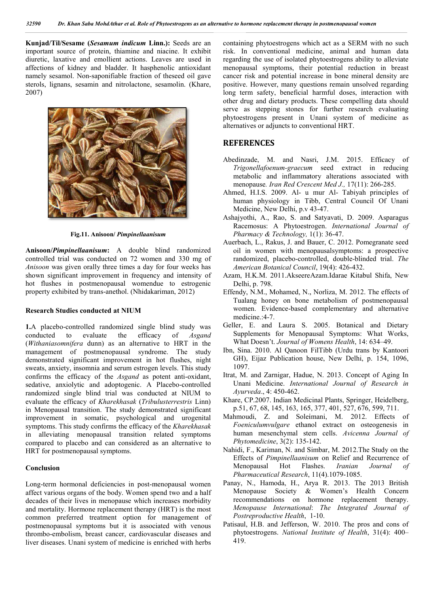**Kunjad/Til/Sesame (***Sesamum indicum* **Linn.):**  Seeds are an important source of protein, thiamine and niacine. It exhibit diuretic, laxative and emollient actions. Leaves are used in affections of kidney and bladder. It hasphenolic antioxidant namely sesamol. Non-saponifiable fraction of theseed oil gave sterols, lignans, sesamin and nitrolactone, sesamolin. (Khare, 2007)



**Fig.11. Anisoon/** *Pimpinellaanisum*

**Anisoon/***Pimpinellaanisum***:** A double blind randomized controlled trial was conducted on 72 women and 330 mg of *Anisoon* was given orally three times a day for four weeks has shown significant improvement in frequency and intensity of hot flushes in postmenopausal womendue to estrogenic property exhibited by trans-anethol. (Nhidakariman, 2012)

#### **Research Studies conducted at NIUM**

property exhibited by trans-anethol. (Nhidakariman, 2012)<br> **Research Studies conducted at NIUM**<br> **1.**A placebo-controlled randomized single blind study was conducted to evaluate the efficacy of *Asgand* (*Withaniasomnifera* dunn) as an alternative to HRT in the management of postmenopausal syndrome. The study demonstrated significant improvement in hot flushes, night sweats, anxiety, insomnia and serum estrogen levels. This study confirms the efficacy of the *Asgand* as potent anti sedative, anxiolytic and adoptogenic. A Placebo-controlled randomized single blind trial was conducted at NIUM to evaluate the efficacy of *Kharekhasak* (*Tribulusterrestris* Linn) in Menopausal transition. The study demonstrated significant improvement in somatic, psychological and urogenital symptoms. This study confirms the efficacy of the *Kharekhasak* in alleviating menopausal transition related symptoms compared to placebo and can considered as an alternative to HRT for postmenopausal symptoms. ) as an alternative to HRT in the enopausal syndrome. The study improvement in hot flushes, night and serum estrogen levels. This study the *Asgand* as potent anti-oxidant, For Excelse the Container of the contents of the same of the same of the same of the same of the same of the same of the same of the same of the same of the same of the same of the same of the same of the same of the same

#### **Conclusion**

Long-term hormonal deficiencies in post-menopausal women affect various organs of the body. Women spend two and a half decades of their lives in menopause which increases morbidity and mortality. Hormone replacement therapy (HRT) is the most common preferred treatment option for management of postmenopausal symptoms but it is associated with venous thrombo-embolism, breast cancer, cardiovascular diseases and liver diseases. Unani system of medicine is enriched with herbs

risk. In conventional medicine, animal and human data regarding the use of isolated phytoestrogens ability to alleviate menopausal symptoms, their potential reduction in breast cancer risk and potential increase in bone mineral density are positive. However, many questions remain unsolved regarding long term safety, beneficial harmful doses, interaction with other drug and dietary products. These compelling data should serve as stepping stones for further research evaluating phytoestrogens present in Unani system of medicine as alternatives or adjuncts to conventional HRT. by to such medicine, animal and human data is use of isolated phytoestrogens ability to alleviate symptoms, their potential reduction in breast and potential increase in bone mineral density are remain unsolved regarding<br>term safety, beneficial harmful doses, interaction with<br>drug and dietary products. These compelling data should<br>as stepping stones for further research evaluating

### **REFERENCES**

- Abedinzade, M. and Nasri, J.M. 2015. Efficacy of *Trigonellafoenum-graecum* seed extract in reducing metabolic and inflammatory alterations associated with menopause*. Iran Red Crescent Med J. Iran Red J.,* 17(11): 266-285.
- Ahmed, H.I.S. 2009. Al- u mur Al- Tabiyah principles of human physiology in Tibb, Central Council Of Unani Medicine, New Delhi, p.v 43-47. Medicine, New Delhi, p.v 43-47.
- Ashajyothi, A., Rao, S. and Satyavati, D. 2009. Asparagus Racemosus: A Phytoestrogen. *International Journal of Pharmacy & Technology,* 1(1): 36 36-47.
- Auerbach, L., Rakus, J. and Bauer, C. 2012. Pomegranate seed oil in women with menopausalsymptoms: a prospective randomized, placebo-controlled, double-blinded trial, The *American Botanical Council* , 19(4): 426-432. Rakus, J. and Bauer, C. 2012. Pomegranate seed<br>men with menopausalsymptoms: a prospective<br>d, placebo-controlled, double-blinded trial. *The*
- Azam, H.K.M. 2011.AkseereAzam.Idarae Kitabul Shifa, New Delhi, p. 798.
- Effendy, N.M., Mohamed, N., Norliza, M. 2012. The effects of Tualang honey on bone metabolism of postmenopausal women. Evidence-based complementary and alternative medicine.:4-7. 2011.AkseereAzam.Idarae Kitabul Shifa, New<br>
.<br>
Mohamed, N., Norliza, M. 2012. The effects of<br>
ney on bone metabolism of postmenopausal<br>
idence-based complementary and alternative<br>
7.<br>
1 Laura S. 2005. Botanical and Dietary
- Geller, E. and Laura S. 2005. Botanical and Dietary Supplements for Menopausal Symptoms: What Works, What Doesn't. Journal of Womens Health, 14: 634-49.
- Ibn, Sina. 2010. Al Qanoon FilTibb (Urdu trans by Kantoori GH), Eijaz Publication house, New Delhi, p. 154, 1096, 1097.
- Itrat, M. and Zarnigar, Hadue, N. 2013. Concept of Aging In Unani Medicine. *International Journal of Research in Ayurveda*., 4: 450-462.
- Khare, CP.2007. Indian Medicinal Plants, Springer, Heidelberg, p.51, 67, 68, 145, 163, 165, 377, 401, 527, 676, 599, 711.
- p.51, 67, 68, 145, 163, 165, 377, 401, 527, 676, 599, 711.<br>Mahmoudi, Z. and Soleimani, M. 2012. Effects of *Foeniculumvulgare* ethanol extract on osteogenesis in Foeniculumvulgare ethanol extract on osteogenesis in human mesenchymal stem cells. *Avicenna Journal of Phytomedicine*, 3(2): 135-142.
- Phytomedicine, 3(2): 135-142.<br>Nahidi, F., Kariman, N. and Simbar, M. 2012. The Study on the Effects of *Pimpinellaanisum* on Relief and Recurrence of Menopausal Hot Flashes. *Pharmaceutical Research*, 11(4).1079-1085. *Iranian Journal of*
- Panay, N., Hamoda, H., Arya R. 2013. The 2013 British Menopause Society & Women's Health Concern recommendations on hormone replacement therapy. *Menopause Society & Women's* Health Concern<br> *Menopause Society & Women's* Health Concern<br> *The Integrated Journal of*<br> *Menopause International: The Integrated Journal of* Postreproductive Health, 1-10.
- Patisaul, H.B. and Jefferson, W. 2010. The pros and cons of phytoestrogens. National Institute of Health, 31(4): 400-419.